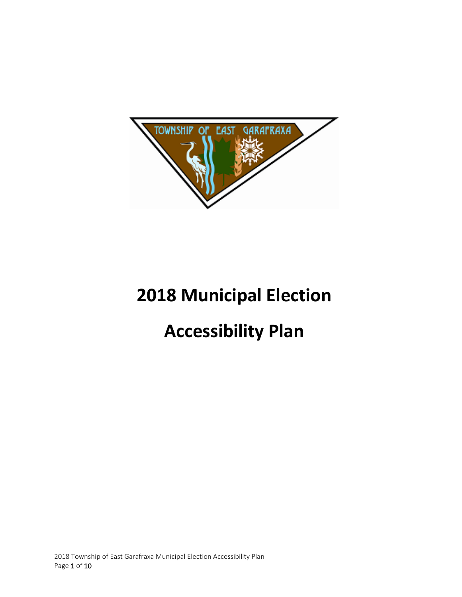

# **2018 Municipal Election**

# **Accessibility Plan**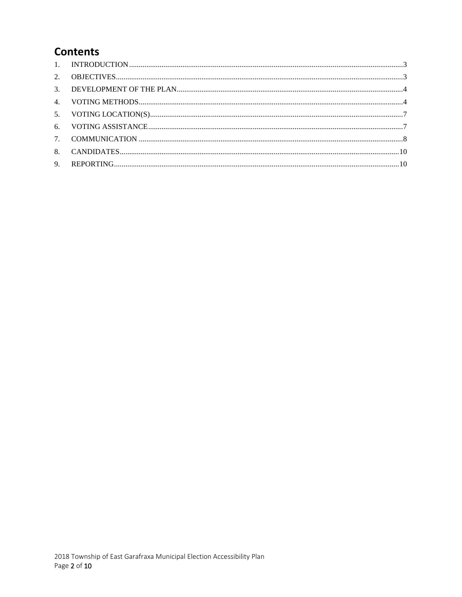# **Contents**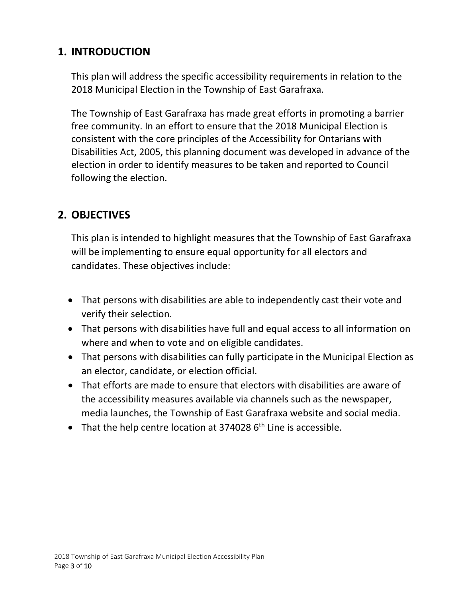# <span id="page-2-0"></span>**1. INTRODUCTION**

This plan will address the specific accessibility requirements in relation to the 2018 Municipal Election in the Township of East Garafraxa.

The Township of East Garafraxa has made great efforts in promoting a barrier free community. In an effort to ensure that the 2018 Municipal Election is consistent with the core principles of the Accessibility for Ontarians with Disabilities Act, 2005, this planning document was developed in advance of the election in order to identify measures to be taken and reported to Council following the election.

# <span id="page-2-1"></span>**2. OBJECTIVES**

This plan is intended to highlight measures that the Township of East Garafraxa will be implementing to ensure equal opportunity for all electors and candidates. These objectives include:

- That persons with disabilities are able to independently cast their vote and verify their selection.
- That persons with disabilities have full and equal access to all information on where and when to vote and on eligible candidates.
- That persons with disabilities can fully participate in the Municipal Election as an elector, candidate, or election official.
- That efforts are made to ensure that electors with disabilities are aware of the accessibility measures available via channels such as the newspaper, media launches, the Township of East Garafraxa website and social media.
- That the help centre location at  $374028$  6<sup>th</sup> Line is accessible.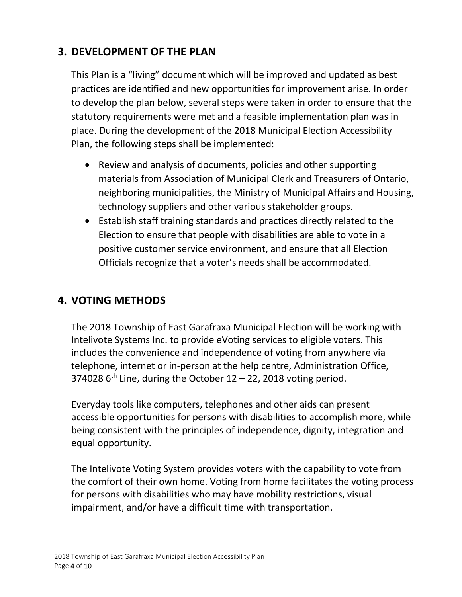## <span id="page-3-0"></span>**3. DEVELOPMENT OF THE PLAN**

This Plan is a "living" document which will be improved and updated as best practices are identified and new opportunities for improvement arise. In order to develop the plan below, several steps were taken in order to ensure that the statutory requirements were met and a feasible implementation plan was in place. During the development of the 2018 Municipal Election Accessibility Plan, the following steps shall be implemented:

- Review and analysis of documents, policies and other supporting materials from Association of Municipal Clerk and Treasurers of Ontario, neighboring municipalities, the Ministry of Municipal Affairs and Housing, technology suppliers and other various stakeholder groups.
- Establish staff training standards and practices directly related to the Election to ensure that people with disabilities are able to vote in a positive customer service environment, and ensure that all Election Officials recognize that a voter's needs shall be accommodated.

## <span id="page-3-1"></span>**4. VOTING METHODS**

The 2018 Township of East Garafraxa Municipal Election will be working with Intelivote Systems Inc. to provide eVoting services to eligible voters. This includes the convenience and independence of voting from anywhere via telephone, internet or in-person at the help centre, Administration Office, 374028  $6<sup>th</sup>$  Line, during the October 12 – 22, 2018 voting period.

Everyday tools like computers, telephones and other aids can present accessible opportunities for persons with disabilities to accomplish more, while being consistent with the principles of independence, dignity, integration and equal opportunity.

The Intelivote Voting System provides voters with the capability to vote from the comfort of their own home. Voting from home facilitates the voting process for persons with disabilities who may have mobility restrictions, visual impairment, and/or have a difficult time with transportation.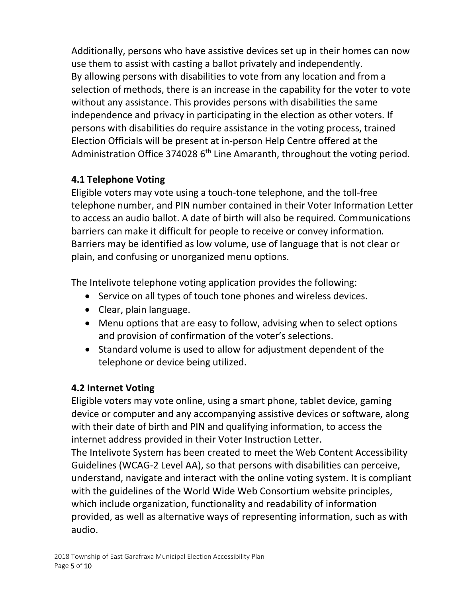Additionally, persons who have assistive devices set up in their homes can now use them to assist with casting a ballot privately and independently. By allowing persons with disabilities to vote from any location and from a selection of methods, there is an increase in the capability for the voter to vote without any assistance. This provides persons with disabilities the same independence and privacy in participating in the election as other voters. If persons with disabilities do require assistance in the voting process, trained Election Officials will be present at in-person Help Centre offered at the Administration Office 374028  $6<sup>th</sup>$  Line Amaranth, throughout the voting period.

#### **4.1 Telephone Voting**

Eligible voters may vote using a touch-tone telephone, and the toll-free telephone number, and PIN number contained in their Voter Information Letter to access an audio ballot. A date of birth will also be required. Communications barriers can make it difficult for people to receive or convey information. Barriers may be identified as low volume, use of language that is not clear or plain, and confusing or unorganized menu options.

The Intelivote telephone voting application provides the following:

- Service on all types of touch tone phones and wireless devices.
- Clear, plain language.
- Menu options that are easy to follow, advising when to select options and provision of confirmation of the voter's selections.
- Standard volume is used to allow for adjustment dependent of the telephone or device being utilized.

#### **4.2 Internet Voting**

Eligible voters may vote online, using a smart phone, tablet device, gaming device or computer and any accompanying assistive devices or software, along with their date of birth and PIN and qualifying information, to access the internet address provided in their Voter Instruction Letter.

The Intelivote System has been created to meet the Web Content Accessibility Guidelines (WCAG-2 Level AA), so that persons with disabilities can perceive, understand, navigate and interact with the online voting system. It is compliant with the guidelines of the World Wide Web Consortium website principles, which include organization, functionality and readability of information provided, as well as alternative ways of representing information, such as with audio.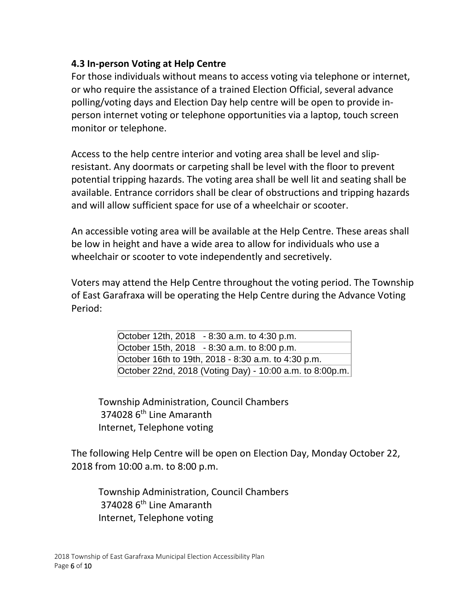#### **4.3 In-person Voting at Help Centre**

For those individuals without means to access voting via telephone or internet, or who require the assistance of a trained Election Official, several advance polling/voting days and Election Day help centre will be open to provide inperson internet voting or telephone opportunities via a laptop, touch screen monitor or telephone.

Access to the help centre interior and voting area shall be level and slipresistant. Any doormats or carpeting shall be level with the floor to prevent potential tripping hazards. The voting area shall be well lit and seating shall be available. Entrance corridors shall be clear of obstructions and tripping hazards and will allow sufficient space for use of a wheelchair or scooter.

An accessible voting area will be available at the Help Centre. These areas shall be low in height and have a wide area to allow for individuals who use a wheelchair or scooter to vote independently and secretively.

Voters may attend the Help Centre throughout the voting period. The Township of East Garafraxa will be operating the Help Centre during the Advance Voting Period:

> October 12th, 2018 - 8:30 a.m. to 4:30 p.m. October 15th, 2018 - 8:30 a.m. to 8:00 p.m. October 16th to 19th, 2018 - 8:30 a.m. to 4:30 p.m. October 22nd, 2018 (Voting Day) - 10:00 a.m. to 8:00p.m.

Township Administration, Council Chambers 374028 6<sup>th</sup> Line Amaranth Internet, Telephone voting

The following Help Centre will be open on Election Day, Monday October 22, 2018 from 10:00 a.m. to 8:00 p.m.

Township Administration, Council Chambers 374028 6<sup>th</sup> Line Amaranth Internet, Telephone voting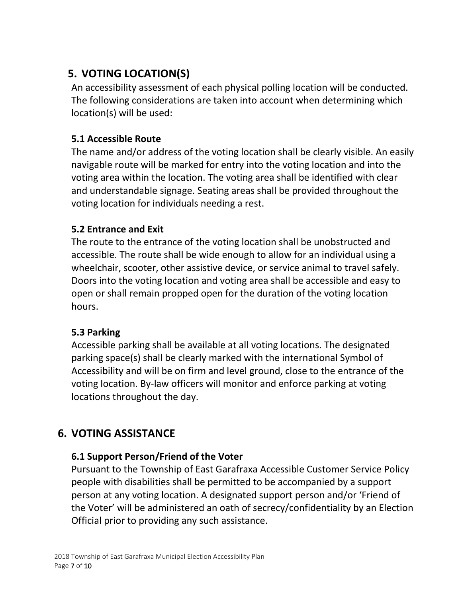# <span id="page-6-0"></span>**5. VOTING LOCATION(S)**

An accessibility assessment of each physical polling location will be conducted. The following considerations are taken into account when determining which location(s) will be used:

#### **5.1 Accessible Route**

The name and/or address of the voting location shall be clearly visible. An easily navigable route will be marked for entry into the voting location and into the voting area within the location. The voting area shall be identified with clear and understandable signage. Seating areas shall be provided throughout the voting location for individuals needing a rest.

#### **5.2 Entrance and Exit**

The route to the entrance of the voting location shall be unobstructed and accessible. The route shall be wide enough to allow for an individual using a wheelchair, scooter, other assistive device, or service animal to travel safely. Doors into the voting location and voting area shall be accessible and easy to open or shall remain propped open for the duration of the voting location hours.

#### **5.3 Parking**

Accessible parking shall be available at all voting locations. The designated parking space(s) shall be clearly marked with the international Symbol of Accessibility and will be on firm and level ground, close to the entrance of the voting location. By-law officers will monitor and enforce parking at voting locations throughout the day.

# <span id="page-6-1"></span>**6. VOTING ASSISTANCE**

#### **6.1 Support Person/Friend of the Voter**

Pursuant to the Township of East Garafraxa Accessible Customer Service Policy people with disabilities shall be permitted to be accompanied by a support person at any voting location. A designated support person and/or 'Friend of the Voter' will be administered an oath of secrecy/confidentiality by an Election Official prior to providing any such assistance.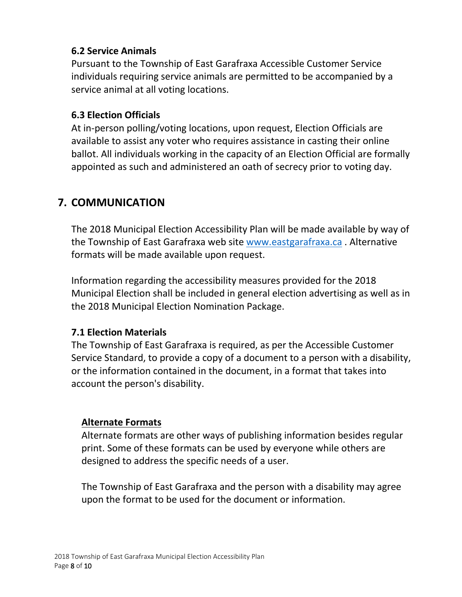#### **6.2 Service Animals**

Pursuant to the Township of East Garafraxa Accessible Customer Service individuals requiring service animals are permitted to be accompanied by a service animal at all voting locations.

#### **6.3 Election Officials**

At in-person polling/voting locations, upon request, Election Officials are available to assist any voter who requires assistance in casting their online ballot. All individuals working in the capacity of an Election Official are formally appointed as such and administered an oath of secrecy prior to voting day.

# <span id="page-7-0"></span>**7. COMMUNICATION**

The 2018 Municipal Election Accessibility Plan will be made available by way of the Township of East Garafraxa web site [www.eastgarafraxa.ca](http://www.eastgarafraxa.ca/) . Alternative formats will be made available upon request.

Information regarding the accessibility measures provided for the 2018 Municipal Election shall be included in general election advertising as well as in the 2018 Municipal Election Nomination Package.

#### **7.1 Election Materials**

The Township of East Garafraxa is required, as per the Accessible Customer Service Standard, to provide a copy of a document to a person with a disability, or the information contained in the document, in a format that takes into account the person's disability.

#### **Alternate Formats**

Alternate formats are other ways of publishing information besides regular print. Some of these formats can be used by everyone while others are designed to address the specific needs of a user.

The Township of East Garafraxa and the person with a disability may agree upon the format to be used for the document or information.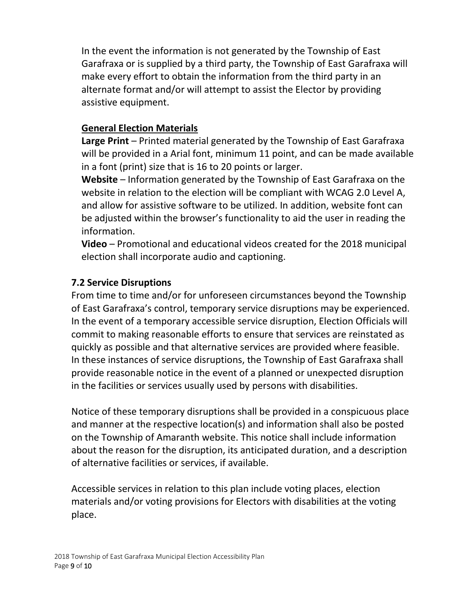In the event the information is not generated by the Township of East Garafraxa or is supplied by a third party, the Township of East Garafraxa will make every effort to obtain the information from the third party in an alternate format and/or will attempt to assist the Elector by providing assistive equipment.

#### **General Election Materials**

**Large Print** – Printed material generated by the Township of East Garafraxa will be provided in a Arial font, minimum 11 point, and can be made available in a font (print) size that is 16 to 20 points or larger.

**Website** – Information generated by the Township of East Garafraxa on the website in relation to the election will be compliant with WCAG 2.0 Level A, and allow for assistive software to be utilized. In addition, website font can be adjusted within the browser's functionality to aid the user in reading the information.

**Video** – Promotional and educational videos created for the 2018 municipal election shall incorporate audio and captioning.

#### **7.2 Service Disruptions**

From time to time and/or for unforeseen circumstances beyond the Township of East Garafraxa's control, temporary service disruptions may be experienced. In the event of a temporary accessible service disruption, Election Officials will commit to making reasonable efforts to ensure that services are reinstated as quickly as possible and that alternative services are provided where feasible. In these instances of service disruptions, the Township of East Garafraxa shall provide reasonable notice in the event of a planned or unexpected disruption in the facilities or services usually used by persons with disabilities.

Notice of these temporary disruptions shall be provided in a conspicuous place and manner at the respective location(s) and information shall also be posted on the Township of Amaranth website. This notice shall include information about the reason for the disruption, its anticipated duration, and a description of alternative facilities or services, if available.

Accessible services in relation to this plan include voting places, election materials and/or voting provisions for Electors with disabilities at the voting place.